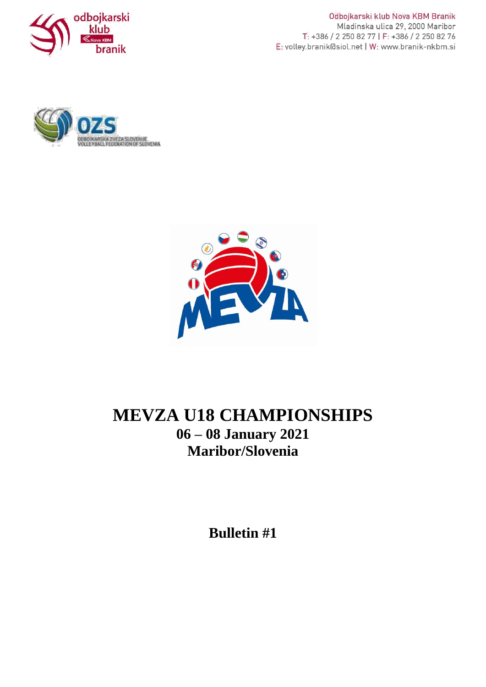

Odbojkarski klub Nova KBM Branik Mladinska ulica 29, 2000 Maribor T: +386 / 2 250 82 77 | F: +386 / 2 250 82 76 E: volley.branik@siol.net | W: www.branik-nkbm.si





# **MEVZA U18 CHAMPIONSHIPS 06 – 08 January 2021 Maribor/Slovenia**

**Bulletin #1**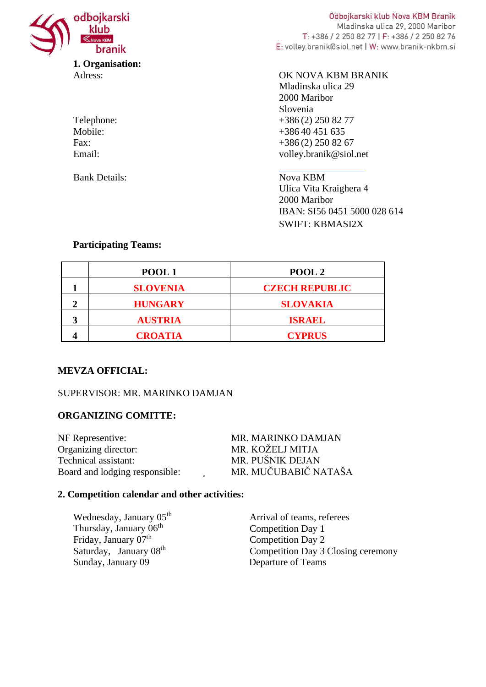

| Telephone: |
|------------|
| Mobile:    |
| Fax:       |
| Email:     |

Bank Details: Nova KBM

Odbojkarski klub Nova KBM Branik Mladinska ulica 29, 2000 Maribor T: +386 / 2 250 82 77 | F: +386 / 2 250 82 76 E: volley.branik@siol.net | W: www.branik-nkbm.si

#### Adress: OK NOVA KBM BRANIK

Mladinska ulica 29 2000 Maribor Slovenia +386 (2) 250 82 77  $+38640451635$  $+386(2)$  250 82 67 volley.branik@siol.net

Ulica Vita Kraighera 4 2000 Maribor IBAN: SI56 0451 5000 028 614 SWIFT: KBMASI2X

#### **Participating Teams:**

|   | POOL1           | POOL <sub>2</sub>     |
|---|-----------------|-----------------------|
|   | <b>SLOVENIA</b> | <b>CZECH REPUBLIC</b> |
|   | <b>HUNGARY</b>  | <b>SLOVAKIA</b>       |
| 3 | <b>AUSTRIA</b>  | <b>ISRAEL</b>         |
|   | <b>CROATIA</b>  | <b>CYPRUS</b>         |

## **MEVZA OFFICIAL:**

## SUPERVISOR: MR. MARINKO DAMJAN

## **ORGANIZING COMITTE:**

| MR. MARINKO DAMJAN   |
|----------------------|
| MR. KOŽELJ MITJA     |
| MR. PUŠNIK DEJAN     |
| MR. MUČUBABIČ NATAŠA |
|                      |

#### **2. Competition calendar and other activities:**

Wednesday, January 05<sup>th</sup> Arrival of teams, referees Thursday, January 06<sup>th</sup> Friday, January 07<sup>th</sup><br>Saturday, January 08<sup>th</sup> Sunday, January 09 Departure of Teams

Competition Day 1 Competition Day 2 Competition Day 3 Closing ceremony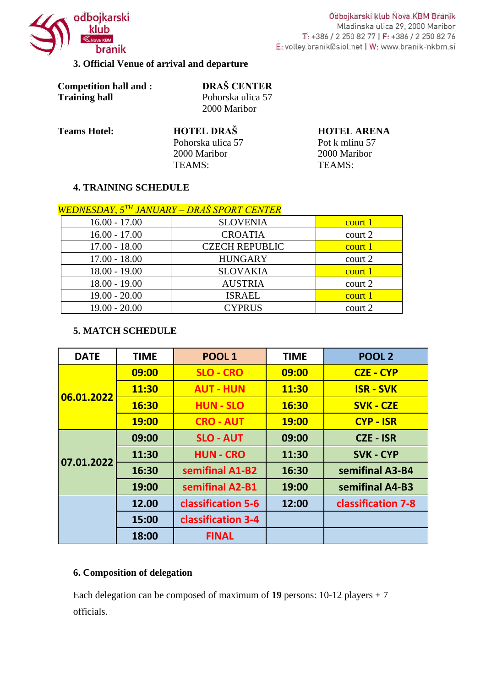

Odbojkarski klub Nova KBM Branik Mladinska ulica 29, 2000 Maribor T: +386 / 2 250 82 77 | F: +386 / 2 250 82 76 E: volley.branik@siol.net | W: www.branik-nkbm.si

# **3. Official Venue of arrival and departure**

| <b>Competition hall and:</b> |
|------------------------------|
| <b>Training hall</b>         |

**Competition hall and : DRAŠ CENTER** Pohorska ulica 57 2000 Maribor

**Teams Hotel: HOTEL DRAŠ HOTEL ARENA** Pohorska ulica 57 Pot k mlinu 57 2000 Maribor 2000 Maribor TEAMS: TEAMS:

## **4. TRAINING SCHEDULE**

# *WEDNESDAY, 5TH JANUARY – DRAŠ SPORT CENTER*

| $16.00 - 17.00$ | <b>SLOVENIA</b>       | court 1 |
|-----------------|-----------------------|---------|
| $16.00 - 17.00$ | <b>CROATIA</b>        | court 2 |
| $17.00 - 18.00$ | <b>CZECH REPUBLIC</b> | court 1 |
| $17.00 - 18.00$ | <b>HUNGARY</b>        | court 2 |
| $18.00 - 19.00$ | <b>SLOVAKIA</b>       | court 1 |
| $18.00 - 19.00$ | <b>AUSTRIA</b>        | court 2 |
| $19.00 - 20.00$ | <b>ISRAEL</b>         | court 1 |
| $19.00 - 20.00$ | <b>CYPRUS</b>         | court 2 |

#### **5. MATCH SCHEDULE**

| <b>DATE</b> | <b>TIME</b>  | POOL <sub>1</sub>  | <b>TIME</b>  | POOL <sub>2</sub>  |
|-------------|--------------|--------------------|--------------|--------------------|
| 06.01.2022  | 09:00        | <b>SLO - CRO</b>   | 09:00        | <b>CZE - CYP</b>   |
|             | 11:30        | <b>AUT - HUN</b>   | 11:30        | <b>ISR - SVK</b>   |
|             | 16:30        | <b>HUN - SLO</b>   | 16:30        | <b>SVK - CZE</b>   |
|             | <b>19:00</b> | <b>CRO - AUT</b>   | <b>19:00</b> | <b>CYP - ISR</b>   |
| 07.01.2022  | 09:00        | <b>SLO - AUT</b>   | 09:00        | <b>CZE - ISR</b>   |
|             | 11:30        | <b>HUN - CRO</b>   | 11:30        | <b>SVK - CYP</b>   |
|             | 16:30        | semifinal A1-B2    | 16:30        | semifinal A3-B4    |
|             | 19:00        | semifinal A2-B1    | 19:00        | semifinal A4-B3    |
|             | 12.00        | classification 5-6 | 12:00        | classification 7-8 |
|             | 15:00        | classification 3-4 |              |                    |
|             | 18:00        | <b>FINAL</b>       |              |                    |

## **6. Composition of delegation**

Each delegation can be composed of maximum of **19** persons: 10-12 players + 7 officials.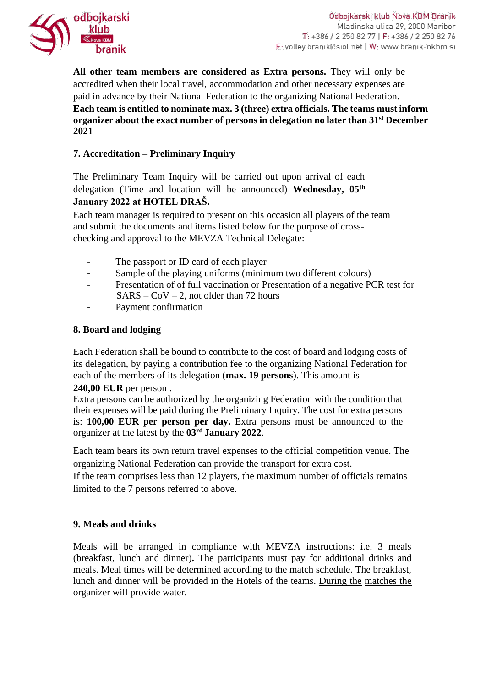

**All other team members are considered as Extra persons.** They will only be accredited when their local travel, accommodation and other necessary expenses are paid in advance by their National Federation to the organizing National Federation. **Each team is entitled to nominate max. 3 (three) extra officials. The teams must inform organizer about the exact number of persons in delegation no later than 31st December 2021**

# **7. Accreditation – Preliminary Inquiry**

The Preliminary Team Inquiry will be carried out upon arrival of each delegation (Time and location will be announced) **Wednesday, 05th January 2022 at HOTEL DRAŠ.**

Each team manager is required to present on this occasion all players of the team and submit the documents and items listed below for the purpose of crosschecking and approval to the MEVZA Technical Delegate:

- The passport or ID card of each player
- Sample of the playing uniforms (minimum two different colours)
- Presentation of of full vaccination or Presentation of a negative PCR test for  $SARS - \text{CoV} - 2$ , not older than 72 hours
- Payment confirmation

## **8. Board and lodging**

Each Federation shall be bound to contribute to the cost of board and lodging costs of its delegation, by paying a contribution fee to the organizing National Federation for each of the members of its delegation (**max. 19 persons**). This amount is

## **240,00 EUR** per person .

Extra persons can be authorized by the organizing Federation with the condition that their expenses will be paid during the Preliminary Inquiry. The cost for extra persons is: **100,00 EUR per person per day.** Extra persons must be announced to the organizer at the latest by the **03rd January 2022**.

Each team bears its own return travel expenses to the official competition venue. The organizing National Federation can provide the transport for extra cost.

If the team comprises less than 12 players, the maximum number of officials remains limited to the 7 persons referred to above.

## **9. Meals and drinks**

Meals will be arranged in compliance with MEVZA instructions: i.e. 3 meals (breakfast, lunch and dinner)**.** The participants must pay for additional drinks and meals. Meal times will be determined according to the match schedule. The breakfast, lunch and dinner will be provided in the Hotels of the teams. During the matches the organizer will provide water.